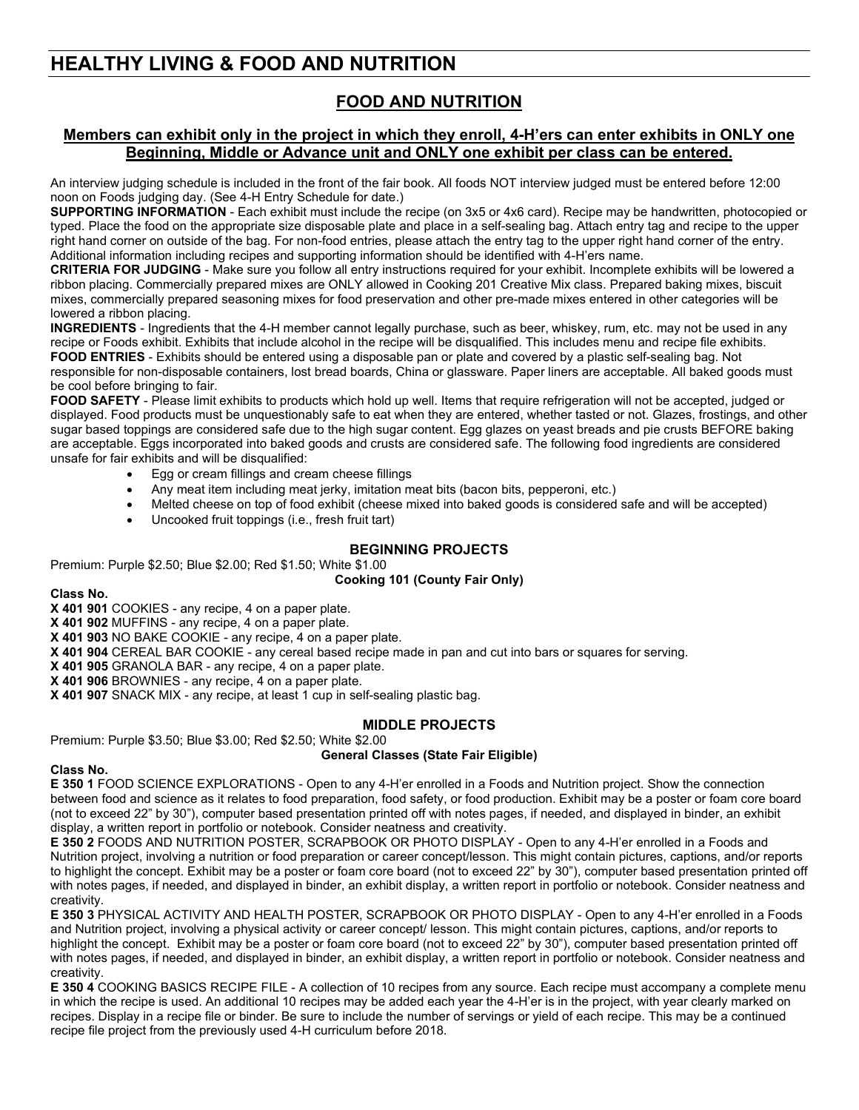# **HEALTHY LIVING & FOOD AND NUTRITION**

# **FOOD AND NUTRITION**

# **Members can exhibit only in the project in which they enroll, 4-H'ers can enter exhibits in ONLY one Beginning, Middle or Advance unit and ONLY one exhibit per class can be entered.**

An interview judging schedule is included in the front of the fair book. All foods NOT interview judged must be entered before 12:00 noon on Foods judging day. (See 4-H Entry Schedule for date.)

**SUPPORTING INFORMATION** - Each exhibit must include the recipe (on 3x5 or 4x6 card). Recipe may be handwritten, photocopied or typed. Place the food on the appropriate size disposable plate and place in a self-sealing bag. Attach entry tag and recipe to the upper right hand corner on outside of the bag. For non-food entries, please attach the entry tag to the upper right hand corner of the entry. Additional information including recipes and supporting information should be identified with 4-H'ers name.

**CRITERIA FOR JUDGING** - Make sure you follow all entry instructions required for your exhibit. Incomplete exhibits will be lowered a ribbon placing. Commercially prepared mixes are ONLY allowed in Cooking 201 Creative Mix class. Prepared baking mixes, biscuit mixes, commercially prepared seasoning mixes for food preservation and other pre-made mixes entered in other categories will be lowered a ribbon placing.

**INGREDIENTS** - Ingredients that the 4-H member cannot legally purchase, such as beer, whiskey, rum, etc. may not be used in any recipe or Foods exhibit. Exhibits that include alcohol in the recipe will be disqualified. This includes menu and recipe file exhibits. **FOOD ENTRIES** - Exhibits should be entered using a disposable pan or plate and covered by a plastic self-sealing bag. Not responsible for non-disposable containers, lost bread boards, China or glassware. Paper liners are acceptable. All baked goods must

be cool before bringing to fair.

**FOOD SAFETY** - Please limit exhibits to products which hold up well. Items that require refrigeration will not be accepted, judged or displayed. Food products must be unquestionably safe to eat when they are entered, whether tasted or not. Glazes, frostings, and other sugar based toppings are considered safe due to the high sugar content. Egg glazes on yeast breads and pie crusts BEFORE baking are acceptable. Eggs incorporated into baked goods and crusts are considered safe. The following food ingredients are considered unsafe for fair exhibits and will be disqualified:

- Egg or cream fillings and cream cheese fillings
- Any meat item including meat jerky, imitation meat bits (bacon bits, pepperoni, etc.)
- Melted cheese on top of food exhibit (cheese mixed into baked goods is considered safe and will be accepted)
- Uncooked fruit toppings (i.e., fresh fruit tart)

# **BEGINNING PROJECTS**

Premium: Purple \$2.50; Blue \$2.00; Red \$1.50; White \$1.00

# **Cooking 101 (County Fair Only)**

**Class No.**

**X 401 901** COOKIES - any recipe, 4 on a paper plate.

**X 401 902** MUFFINS - any recipe, 4 on a paper plate.

**X 401 903** NO BAKE COOKIE - any recipe, 4 on a paper plate.

**X 401 904** CEREAL BAR COOKIE - any cereal based recipe made in pan and cut into bars or squares for serving.

**X 401 905** GRANOLA BAR - any recipe, 4 on a paper plate.

**X 401 906** BROWNIES - any recipe, 4 on a paper plate.

**X 401 907** SNACK MIX - any recipe, at least 1 cup in self-sealing plastic bag.

# **MIDDLE PROJECTS**

Premium: Purple \$3.50; Blue \$3.00; Red \$2.50; White \$2.00

# **General Classes (State Fair Eligible)**

### **Class No.**

**E 350 1** FOOD SCIENCE EXPLORATIONS - Open to any 4-H'er enrolled in a Foods and Nutrition project. Show the connection between food and science as it relates to food preparation, food safety, or food production. Exhibit may be a poster or foam core board (not to exceed 22" by 30"), computer based presentation printed off with notes pages, if needed, and displayed in binder, an exhibit display, a written report in portfolio or notebook. Consider neatness and creativity.

**E 350 2** FOODS AND NUTRITION POSTER, SCRAPBOOK OR PHOTO DISPLAY - Open to any 4-H'er enrolled in a Foods and Nutrition project, involving a nutrition or food preparation or career concept/lesson. This might contain pictures, captions, and/or reports to highlight the concept. Exhibit may be a poster or foam core board (not to exceed 22" by 30"), computer based presentation printed off with notes pages, if needed, and displayed in binder, an exhibit display, a written report in portfolio or notebook. Consider neatness and creativity.

**E 350 3** PHYSICAL ACTIVITY AND HEALTH POSTER, SCRAPBOOK OR PHOTO DISPLAY - Open to any 4-H'er enrolled in a Foods and Nutrition project, involving a physical activity or career concept/ lesson. This might contain pictures, captions, and/or reports to highlight the concept. Exhibit may be a poster or foam core board (not to exceed 22" by 30"), computer based presentation printed off with notes pages, if needed, and displayed in binder, an exhibit display, a written report in portfolio or notebook. Consider neatness and creativity.

**E 350 4** COOKING BASICS RECIPE FILE - A collection of 10 recipes from any source. Each recipe must accompany a complete menu in which the recipe is used. An additional 10 recipes may be added each year the 4-H'er is in the project, with year clearly marked on recipes. Display in a recipe file or binder. Be sure to include the number of servings or yield of each recipe. This may be a continued recipe file project from the previously used 4-H curriculum before 2018.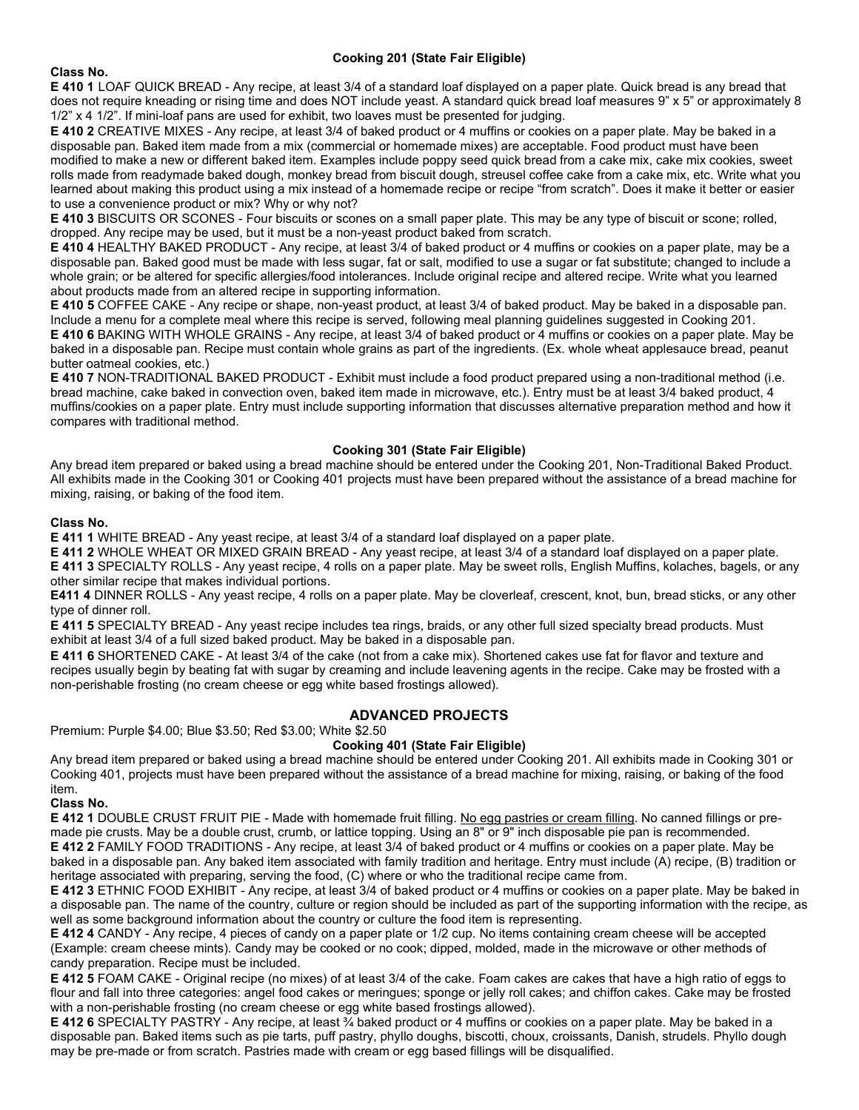## **Cooking 201 (State Fair Eligible)**

### **Class No.**

**E 410 1** LOAF QUICK BREAD - Any recipe, at least 3/4 of a standard loaf displayed on a paper plate. Quick bread is any bread that does not require kneading or rising time and does NOT include yeast. A standard quick bread loaf measures 9" x 5" or approximately 8 1/2" x 4 1/2". If mini-loaf pans are used for exhibit, two loaves must be presented for judging.

**E 410 2** CREATIVE MIXES - Any recipe, at least 3/4 of baked product or 4 muffins or cookies on a paper plate. May be baked in a disposable pan. Baked item made from a mix (commercial or homemade mixes) are acceptable. Food product must have been modified to make a new or different baked item. Examples include poppy seed quick bread from a cake mix, cake mix cookies, sweet rolls made from readymade baked dough, monkey bread from biscuit dough, streusel coffee cake from a cake mix, etc. Write what you learned about making this product using a mix instead of a homemade recipe or recipe "from scratch". Does it make it better or easier to use a convenience product or mix? Why or why not?

**E 410 3** BISCUITS OR SCONES - Four biscuits or scones on a small paper plate. This may be any type of biscuit or scone; rolled, dropped. Any recipe may be used, but it must be a non-yeast product baked from scratch.

**E 410 4** HEALTHY BAKED PRODUCT - Any recipe, at least 3/4 of baked product or 4 muffins or cookies on a paper plate, may be a disposable pan. Baked good must be made with less sugar, fat or salt, modified to use a sugar or fat substitute; changed to include a whole grain; or be altered for specific allergies/food intolerances. Include original recipe and altered recipe. Write what you learned about products made from an altered recipe in supporting information.

**E 410 5** COFFEE CAKE - Any recipe or shape, non-yeast product, at least 3/4 of baked product. May be baked in a disposable pan. Include a menu for a complete meal where this recipe is served, following meal planning guidelines suggested in Cooking 201.

**E 410 6** BAKING WITH WHOLE GRAINS - Any recipe, at least 3/4 of baked product or 4 muffins or cookies on a paper plate. May be baked in a disposable pan. Recipe must contain whole grains as part of the ingredients. (Ex. whole wheat applesauce bread, peanut butter oatmeal cookies, etc.)

**E 410 7** NON-TRADITIONAL BAKED PRODUCT - Exhibit must include a food product prepared using a non-traditional method (i.e. bread machine, cake baked in convection oven, baked item made in microwave, etc.). Entry must be at least 3/4 baked product, 4 muffins/cookies on a paper plate. Entry must include supporting information that discusses alternative preparation method and how it compares with traditional method.

## **Cooking 301 (State Fair Eligible)**

Any bread item prepared or baked using a bread machine should be entered under the Cooking 201, Non-Traditional Baked Product. All exhibits made in the Cooking 301 or Cooking 401 projects must have been prepared without the assistance of a bread machine for mixing, raising, or baking of the food item.

### **Class No.**

**E 411 1** WHITE BREAD - Any yeast recipe, at least 3/4 of a standard loaf displayed on a paper plate.

**E 411 2** WHOLE WHEAT OR MIXED GRAIN BREAD - Any yeast recipe, at least 3/4 of a standard loaf displayed on a paper plate. **E 411 3** SPECIALTY ROLLS - Any yeast recipe, 4 rolls on a paper plate. May be sweet rolls, English Muffins, kolaches, bagels, or any other similar recipe that makes individual portions.

**E411 4** DINNER ROLLS - Any yeast recipe, 4 rolls on a paper plate. May be cloverleaf, crescent, knot, bun, bread sticks, or any other type of dinner roll.

**E 411 5** SPECIALTY BREAD - Any yeast recipe includes tea rings, braids, or any other full sized specialty bread products. Must exhibit at least 3/4 of a full sized baked product. May be baked in a disposable pan.

**E 411 6** SHORTENED CAKE - At least 3/4 of the cake (not from a cake mix). Shortened cakes use fat for flavor and texture and recipes usually begin by beating fat with sugar by creaming and include leavening agents in the recipe. Cake may be frosted with a non-perishable frosting (no cream cheese or egg white based frostings allowed).

# **ADVANCED PROJECTS**

Premium: Purple \$4.00; Blue \$3.50; Red \$3.00; White \$2.50

# **Cooking 401 (State Fair Eligible)**

Any bread item prepared or baked using a bread machine should be entered under Cooking 201. All exhibits made in Cooking 301 or Cooking 401, projects must have been prepared without the assistance of a bread machine for mixing, raising, or baking of the food item.

### **Class No.**

**E 412 1** DOUBLE CRUST FRUIT PIE - Made with homemade fruit filling. No egg pastries or cream filling. No canned fillings or premade pie crusts. May be a double crust, crumb, or lattice topping. Using an 8" or 9" inch disposable pie pan is recommended. **E 412 2** FAMILY FOOD TRADITIONS - Any recipe, at least 3/4 of baked product or 4 muffins or cookies on a paper plate. May be baked in a disposable pan. Any baked item associated with family tradition and heritage. Entry must include (A) recipe, (B) tradition or heritage associated with preparing, serving the food, (C) where or who the traditional recipe came from.

**E 412 3** ETHNIC FOOD EXHIBIT - Any recipe, at least 3/4 of baked product or 4 muffins or cookies on a paper plate. May be baked in a disposable pan. The name of the country, culture or region should be included as part of the supporting information with the recipe, as well as some background information about the country or culture the food item is representing.

**E 412 4** CANDY - Any recipe, 4 pieces of candy on a paper plate or 1/2 cup. No items containing cream cheese will be accepted (Example: cream cheese mints). Candy may be cooked or no cook; dipped, molded, made in the microwave or other methods of candy preparation. Recipe must be included.

**E 412 5** FOAM CAKE - Original recipe (no mixes) of at least 3/4 of the cake. Foam cakes are cakes that have a high ratio of eggs to flour and fall into three categories: angel food cakes or meringues; sponge or jelly roll cakes; and chiffon cakes. Cake may be frosted with a non-perishable frosting (no cream cheese or egg white based frostings allowed).

**E 412 6** SPECIALTY PASTRY - Any recipe, at least  $\frac{3}{4}$  baked product or 4 muffins or cookies on a paper plate. May be baked in a disposable pan. Baked items such as pie tarts, puff pastry, phyllo doughs, biscotti, choux, croissants, Danish, strudels. Phyllo dough may be pre-made or from scratch. Pastries made with cream or egg based fillings will be disqualified.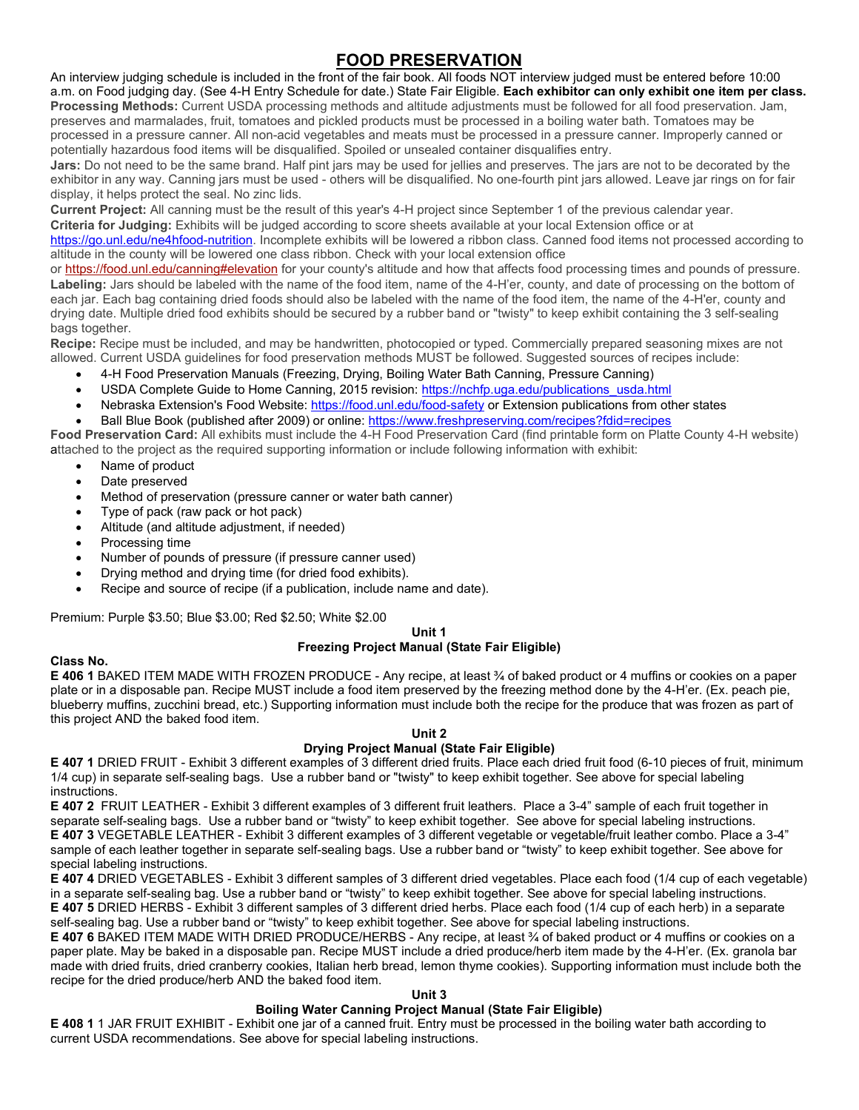# **FOOD PRESERVATION**

An interview judging schedule is included in the front of the fair book. All foods NOT interview judged must be entered before 10:00 a.m. on Food judging day. (See 4-H Entry Schedule for date.) State Fair Eligible. **Each exhibitor can only exhibit one item per class. Processing Methods:** Current USDA processing methods and altitude adjustments must be followed for all food preservation. Jam, preserves and marmalades, fruit, tomatoes and pickled products must be processed in a boiling water bath. Tomatoes may be processed in a pressure canner. All non-acid vegetables and meats must be processed in a pressure canner. Improperly canned or potentially hazardous food items will be disqualified. Spoiled or unsealed container disqualifies entry.

**Jars:** Do not need to be the same brand. Half pint jars may be used for jellies and preserves. The jars are not to be decorated by the exhibitor in any way. Canning jars must be used - others will be disqualified. No one-fourth pint jars allowed. Leave jar rings on for fair display, it helps protect the seal. No zinc lids.

**Current Project:** All canning must be the result of this year's 4-H project since September 1 of the previous calendar year.

**Criteria for Judging:** Exhibits will be judged according to score sheets available at your local Extension office or at

[https://go.unl.edu/ne4hfood-nutrition.](https://go.unl.edu/ne4hfood-nutrition) Incomplete exhibits will be lowered a ribbon class. Canned food items not processed according to altitude in the county will be lowered one class ribbon. Check with your local extension office

or <https://food.unl.edu/canning#elevation> for your county's altitude and how that affects food processing times and pounds of pressure. **Labeling:** Jars should be labeled with the name of the food item, name of the 4-H'er, county, and date of processing on the bottom of each jar. Each bag containing dried foods should also be labeled with the name of the food item, the name of the 4-H'er, county and drying date. Multiple dried food exhibits should be secured by a rubber band or "twisty" to keep exhibit containing the 3 self-sealing bags together.

**Recipe:** Recipe must be included, and may be handwritten, photocopied or typed. Commercially prepared seasoning mixes are not allowed. Current USDA guidelines for food preservation methods MUST be followed. Suggested sources of recipes include:

- 4-H Food Preservation Manuals (Freezing, Drying, Boiling Water Bath Canning, Pressure Canning)
- USDA Complete Guide to Home Canning, 2015 revision[: https://nchfp.uga.edu/publications\\_usda.html](https://nchfp.uga.edu/publications_usda.html)
- Nebraska Extension's Food Website: <https://food.unl.edu/food-safety> or Extension publications from other states
- Ball Blue Book (published after 2009) or online: <https://www.freshpreserving.com/recipes?fdid=recipes>

**Food Preservation Card:** All exhibits must include the 4-H Food Preservation Card (find printable form on Platte County 4-H website) attached to the project as the required supporting information or include following information with exhibit:

- Name of product
- Date preserved
- Method of preservation (pressure canner or water bath canner)
- Type of pack (raw pack or hot pack)
- Altitude (and altitude adjustment, if needed)
- Processing time
- Number of pounds of pressure (if pressure canner used)
- Drying method and drying time (for dried food exhibits).
- Recipe and source of recipe (if a publication, include name and date).

Premium: Purple \$3.50; Blue \$3.00; Red \$2.50; White \$2.00

#### **Unit 1 Freezing Project Manual (State Fair Eligible)**

# **Class No.**

**E 406 1** BAKED ITEM MADE WITH FROZEN PRODUCE - Any recipe, at least ¾ of baked product or 4 muffins or cookies on a paper plate or in a disposable pan. Recipe MUST include a food item preserved by the freezing method done by the 4-H'er. (Ex. peach pie, blueberry muffins, zucchini bread, etc.) Supporting information must include both the recipe for the produce that was frozen as part of this project AND the baked food item.

# **Unit 2**

# **Drying Project Manual (State Fair Eligible)**

**E 407 1** DRIED FRUIT - Exhibit 3 different examples of 3 different dried fruits. Place each dried fruit food (6-10 pieces of fruit, minimum 1/4 cup) in separate self-sealing bags. Use a rubber band or "twisty" to keep exhibit together. See above for special labeling **instructions** 

**E 407 2** FRUIT LEATHER - Exhibit 3 different examples of 3 different fruit leathers. Place a 3-4" sample of each fruit together in separate self-sealing bags. Use a rubber band or "twisty" to keep exhibit together. See above for special labeling instructions. **E 407 3** VEGETABLE LEATHER - Exhibit 3 different examples of 3 different vegetable or vegetable/fruit leather combo. Place a 3-4" sample of each leather together in separate self-sealing bags. Use a rubber band or "twisty" to keep exhibit together. See above for special labeling instructions.

**E 407 4** DRIED VEGETABLES - Exhibit 3 different samples of 3 different dried vegetables. Place each food (1/4 cup of each vegetable) in a separate self-sealing bag. Use a rubber band or "twisty" to keep exhibit together. See above for special labeling instructions. **E 407 5** DRIED HERBS - Exhibit 3 different samples of 3 different dried herbs. Place each food (1/4 cup of each herb) in a separate self-sealing bag. Use a rubber band or "twisty" to keep exhibit together. See above for special labeling instructions.

**E 407 6** BAKED ITEM MADE WITH DRIED PRODUCE/HERBS - Any recipe, at least ¾ of baked product or 4 muffins or cookies on a paper plate. May be baked in a disposable pan. Recipe MUST include a dried produce/herb item made by the 4-H'er. (Ex. granola bar made with dried fruits, dried cranberry cookies, Italian herb bread, lemon thyme cookies). Supporting information must include both the recipe for the dried produce/herb AND the baked food item.

### **Unit 3**

# **Boiling Water Canning Project Manual (State Fair Eligible)**

**E 408 1** 1 JAR FRUIT EXHIBIT - Exhibit one jar of a canned fruit. Entry must be processed in the boiling water bath according to current USDA recommendations. See above for special labeling instructions.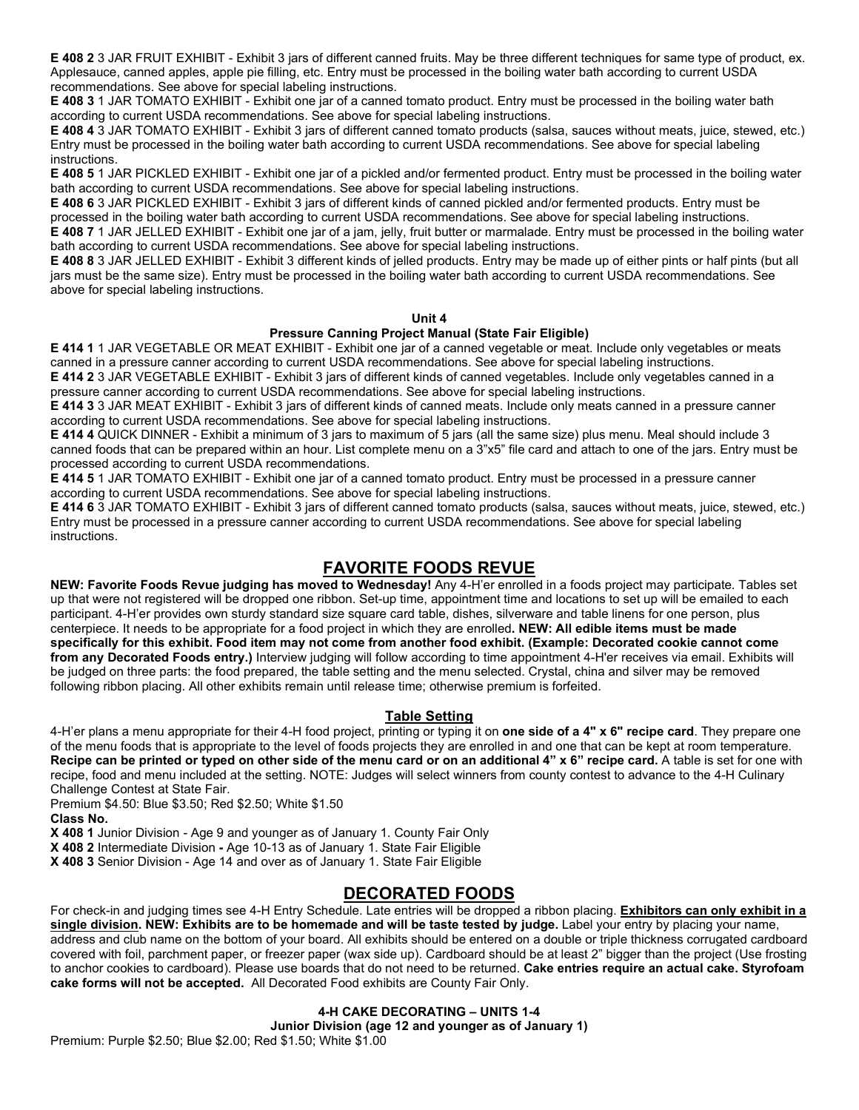**E 408 2** 3 JAR FRUIT EXHIBIT - Exhibit 3 jars of different canned fruits. May be three different techniques for same type of product, ex. Applesauce, canned apples, apple pie filling, etc. Entry must be processed in the boiling water bath according to current USDA recommendations. See above for special labeling instructions.

**E 408 3** 1 JAR TOMATO EXHIBIT - Exhibit one jar of a canned tomato product. Entry must be processed in the boiling water bath according to current USDA recommendations. See above for special labeling instructions.

**E 408 4** 3 JAR TOMATO EXHIBIT - Exhibit 3 jars of different canned tomato products (salsa, sauces without meats, juice, stewed, etc.) Entry must be processed in the boiling water bath according to current USDA recommendations. See above for special labeling instructions.

**E 408 5** 1 JAR PICKLED EXHIBIT - Exhibit one jar of a pickled and/or fermented product. Entry must be processed in the boiling water bath according to current USDA recommendations. See above for special labeling instructions.

**E 408 6** 3 JAR PICKLED EXHIBIT - Exhibit 3 jars of different kinds of canned pickled and/or fermented products. Entry must be processed in the boiling water bath according to current USDA recommendations. See above for special labeling instructions. **E 408 7** 1 JAR JELLED EXHIBIT - Exhibit one jar of a jam, jelly, fruit butter or marmalade. Entry must be processed in the boiling water bath according to current USDA recommendations. See above for special labeling instructions.

**E 408 8** 3 JAR JELLED EXHIBIT - Exhibit 3 different kinds of jelled products. Entry may be made up of either pints or half pints (but all jars must be the same size). Entry must be processed in the boiling water bath according to current USDA recommendations. See above for special labeling instructions.

### **Unit 4**

# **Pressure Canning Project Manual (State Fair Eligible)**

**E 414 1** 1 JAR VEGETABLE OR MEAT EXHIBIT - Exhibit one jar of a canned vegetable or meat. Include only vegetables or meats canned in a pressure canner according to current USDA recommendations. See above for special labeling instructions.

**E 414 2** 3 JAR VEGETABLE EXHIBIT - Exhibit 3 jars of different kinds of canned vegetables. Include only vegetables canned in a pressure canner according to current USDA recommendations. See above for special labeling instructions.

**E 414 3** 3 JAR MEAT EXHIBIT - Exhibit 3 jars of different kinds of canned meats. Include only meats canned in a pressure canner according to current USDA recommendations. See above for special labeling instructions.

**E 414 4** QUICK DINNER - Exhibit a minimum of 3 jars to maximum of 5 jars (all the same size) plus menu. Meal should include 3 canned foods that can be prepared within an hour. List complete menu on a 3"x5" file card and attach to one of the jars. Entry must be processed according to current USDA recommendations.

**E 414 5** 1 JAR TOMATO EXHIBIT - Exhibit one jar of a canned tomato product. Entry must be processed in a pressure canner according to current USDA recommendations. See above for special labeling instructions.

**E 414 6** 3 JAR TOMATO EXHIBIT - Exhibit 3 jars of different canned tomato products (salsa, sauces without meats, juice, stewed, etc.) Entry must be processed in a pressure canner according to current USDA recommendations. See above for special labeling instructions.

# **FAVORITE FOODS REVUE**

**NEW: Favorite Foods Revue judging has moved to Wednesday!** Any 4-H'er enrolled in a foods project may participate. Tables set up that were not registered will be dropped one ribbon. Set-up time, appointment time and locations to set up will be emailed to each participant. 4-H'er provides own sturdy standard size square card table, dishes, silverware and table linens for one person, plus centerpiece. It needs to be appropriate for a food project in which they are enrolled**. NEW: All edible items must be made specifically for this exhibit. Food item may not come from another food exhibit. (Example: Decorated cookie cannot come**  from any Decorated Foods entry.) Interview judging will follow according to time appointment 4-H'er receives via email. Exhibits will be judged on three parts: the food prepared, the table setting and the menu selected. Crystal, china and silver may be removed following ribbon placing. All other exhibits remain until release time; otherwise premium is forfeited.

# **Table Setting**

4-H'er plans a menu appropriate for their 4-H food project, printing or typing it on **one side of a 4" x 6" recipe card**. They prepare one of the menu foods that is appropriate to the level of foods projects they are enrolled in and one that can be kept at room temperature. **Recipe can be printed or typed on other side of the menu card or on an additional 4" x 6" recipe card.** A table is set for one with recipe, food and menu included at the setting. NOTE: Judges will select winners from county contest to advance to the 4-H Culinary Challenge Contest at State Fair.

Premium \$4.50: Blue \$3.50; Red \$2.50; White \$1.50

**Class No.**

**X 408 1** Junior Division - Age 9 and younger as of January 1. County Fair Only

**X 408 2** Intermediate Division **-** Age 10-13 as of January 1. State Fair Eligible

**X 408 3** Senior Division - Age 14 and over as of January 1. State Fair Eligible

# **DECORATED FOODS**

For check-in and judging times see 4-H Entry Schedule. Late entries will be dropped a ribbon placing. **Exhibitors can only exhibit in a single division. NEW: Exhibits are to be homemade and will be taste tested by judge.** Label your entry by placing your name, address and club name on the bottom of your board. All exhibits should be entered on a double or triple thickness corrugated cardboard covered with foil, parchment paper, or freezer paper (wax side up). Cardboard should be at least 2" bigger than the project (Use frosting to anchor cookies to cardboard). Please use boards that do not need to be returned. **Cake entries require an actual cake. Styrofoam cake forms will not be accepted.** All Decorated Food exhibits are County Fair Only.

# **4-H CAKE DECORATING – UNITS 1-4**

**Junior Division (age 12 and younger as of January 1)**

Premium: Purple \$2.50; Blue \$2.00; Red \$1.50; White \$1.00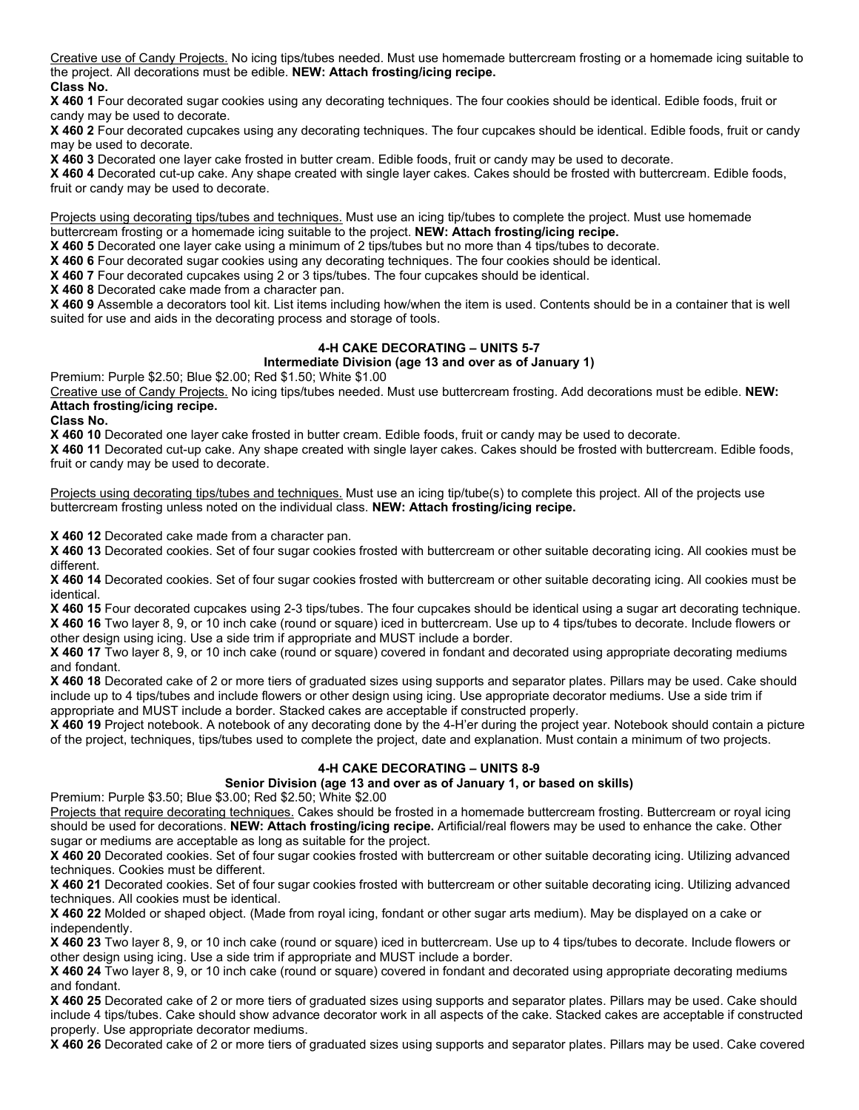Creative use of Candy Projects. No icing tips/tubes needed. Must use homemade buttercream frosting or a homemade icing suitable to the project. All decorations must be edible. **NEW: Attach frosting/icing recipe.**

# **Class No.**

**X 460 1** Four decorated sugar cookies using any decorating techniques. The four cookies should be identical. Edible foods, fruit or candy may be used to decorate.

**X 460 2** Four decorated cupcakes using any decorating techniques. The four cupcakes should be identical. Edible foods, fruit or candy may be used to decorate.

**X 460 3** Decorated one layer cake frosted in butter cream. Edible foods, fruit or candy may be used to decorate.

**X 460 4** Decorated cut-up cake. Any shape created with single layer cakes. Cakes should be frosted with buttercream. Edible foods, fruit or candy may be used to decorate.

Projects using decorating tips/tubes and techniques. Must use an icing tip/tubes to complete the project. Must use homemade buttercream frosting or a homemade icing suitable to the project. **NEW: Attach frosting/icing recipe.**

**X 460 5** Decorated one layer cake using a minimum of 2 tips/tubes but no more than 4 tips/tubes to decorate.

**X 460 6** Four decorated sugar cookies using any decorating techniques. The four cookies should be identical.

**X 460 7** Four decorated cupcakes using 2 or 3 tips/tubes. The four cupcakes should be identical.

**X 460 8** Decorated cake made from a character pan.

**X 460 9** Assemble a decorators tool kit. List items including how/when the item is used. Contents should be in a container that is well suited for use and aids in the decorating process and storage of tools.

# **4-H CAKE DECORATING – UNITS 5-7**

### **Intermediate Division (age 13 and over as of January 1)**

Premium: Purple \$2.50; Blue \$2.00; Red \$1.50; White \$1.00

Creative use of Candy Projects. No icing tips/tubes needed. Must use buttercream frosting. Add decorations must be edible. **NEW: Attach frosting/icing recipe.**

#### **Class No.**

**X 460 10** Decorated one layer cake frosted in butter cream. Edible foods, fruit or candy may be used to decorate.

**X 460 11** Decorated cut-up cake. Any shape created with single layer cakes. Cakes should be frosted with buttercream. Edible foods, fruit or candy may be used to decorate.

Projects using decorating tips/tubes and techniques. Must use an icing tip/tube(s) to complete this project. All of the projects use buttercream frosting unless noted on the individual class. **NEW: Attach frosting/icing recipe.**

**X 460 12** Decorated cake made from a character pan.

**X 460 13** Decorated cookies. Set of four sugar cookies frosted with buttercream or other suitable decorating icing. All cookies must be different.

**X 460 14** Decorated cookies. Set of four sugar cookies frosted with buttercream or other suitable decorating icing. All cookies must be identical.

**X 460 15** Four decorated cupcakes using 2-3 tips/tubes. The four cupcakes should be identical using a sugar art decorating technique. **X 460 16** Two layer 8, 9, or 10 inch cake (round or square) iced in buttercream. Use up to 4 tips/tubes to decorate. Include flowers or other design using icing. Use a side trim if appropriate and MUST include a border.

**X 460 17** Two layer 8, 9, or 10 inch cake (round or square) covered in fondant and decorated using appropriate decorating mediums and fondant.

**X 460 18** Decorated cake of 2 or more tiers of graduated sizes using supports and separator plates. Pillars may be used. Cake should include up to 4 tips/tubes and include flowers or other design using icing. Use appropriate decorator mediums. Use a side trim if appropriate and MUST include a border. Stacked cakes are acceptable if constructed properly.

**X 460 19** Project notebook. A notebook of any decorating done by the 4-H'er during the project year. Notebook should contain a picture of the project, techniques, tips/tubes used to complete the project, date and explanation. Must contain a minimum of two projects.

### **4-H CAKE DECORATING – UNITS 8-9**

### **Senior Division (age 13 and over as of January 1, or based on skills)**

Premium: Purple \$3.50; Blue \$3.00; Red \$2.50; White \$2.00

Projects that require decorating techniques. Cakes should be frosted in a homemade buttercream frosting. Buttercream or royal icing should be used for decorations. **NEW: Attach frosting/icing recipe.** Artificial/real flowers may be used to enhance the cake. Other sugar or mediums are acceptable as long as suitable for the project.

**X 460 20** Decorated cookies. Set of four sugar cookies frosted with buttercream or other suitable decorating icing. Utilizing advanced techniques. Cookies must be different.

**X 460 21** Decorated cookies. Set of four sugar cookies frosted with buttercream or other suitable decorating icing. Utilizing advanced techniques. All cookies must be identical.

**X 460 22** Molded or shaped object. (Made from royal icing, fondant or other sugar arts medium). May be displayed on a cake or independently.

**X 460 23** Two layer 8, 9, or 10 inch cake (round or square) iced in buttercream. Use up to 4 tips/tubes to decorate. Include flowers or other design using icing. Use a side trim if appropriate and MUST include a border.

**X 460 24** Two layer 8, 9, or 10 inch cake (round or square) covered in fondant and decorated using appropriate decorating mediums and fondant.

**X 460 25** Decorated cake of 2 or more tiers of graduated sizes using supports and separator plates. Pillars may be used. Cake should include 4 tips/tubes. Cake should show advance decorator work in all aspects of the cake. Stacked cakes are acceptable if constructed properly. Use appropriate decorator mediums.

**X 460 26** Decorated cake of 2 or more tiers of graduated sizes using supports and separator plates. Pillars may be used. Cake covered